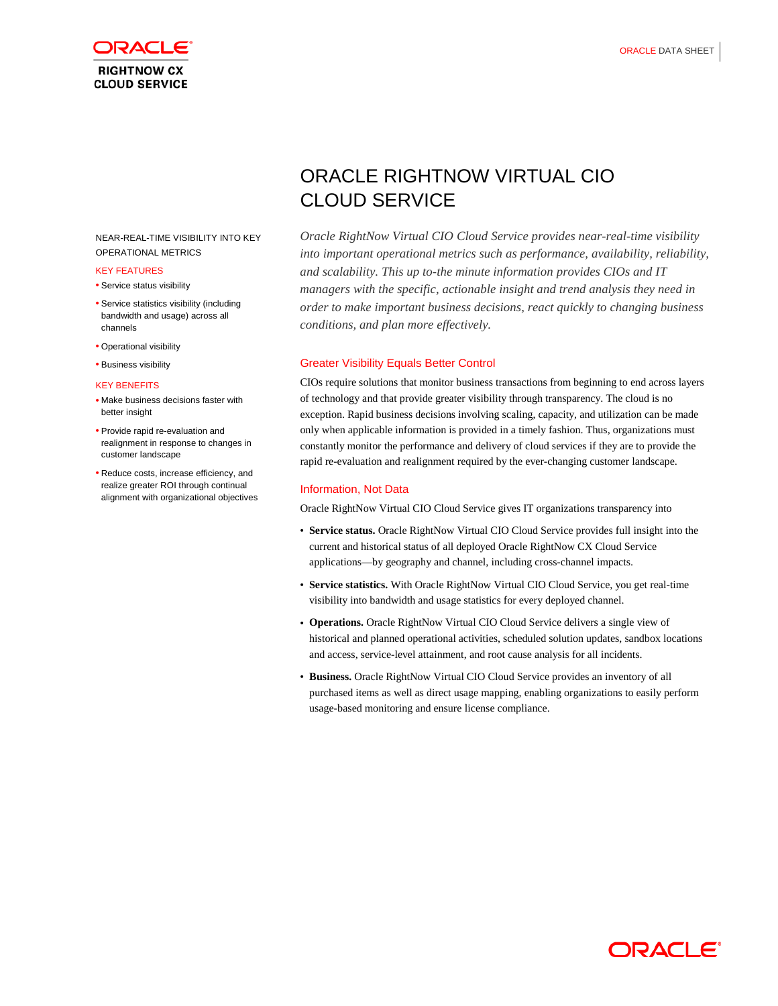

## NEAR-REAL-TIME VISIBILITY INTO KEY OPERATIONAL METRICS

#### KEY FEATURES

- Service status visibility
- Service statistics visibility (including bandwidth and usage) across all channels
- Operational visibility
- Business visibility

#### KEY BENEFITS

- Make business decisions faster with better insight
- Provide rapid re-evaluation and realignment in response to changes in customer landscape
- Reduce costs, increase efficiency, and realize greater ROI through continual alignment with organizational objectives

# ORACLE RIGHTNOW VIRTUAL CIO CLOUD SERVICE

*Oracle RightNow Virtual CIO Cloud Service provides near-real-time visibility into important operational metrics such as performance, availability, reliability, and scalability. This up to-the minute information provides CIOs and IT managers with the specific, actionable insight and trend analysis they need in order to make important business decisions, react quickly to changing business conditions, and plan more effectively.*

## Greater Visibility Equals Better Control

CIOs require solutions that monitor business transactions from beginning to end across layers of technology and that provide greater visibility through transparency. The cloud is no exception. Rapid business decisions involving scaling, capacity, and utilization can be made only when applicable information is provided in a timely fashion. Thus, organizations must constantly monitor the performance and delivery of cloud services if they are to provide the rapid re-evaluation and realignment required by the ever-changing customer landscape.

## Information, Not Data

Oracle RightNow Virtual CIO Cloud Service gives IT organizations transparency into

- **Service status.** Oracle RightNow Virtual CIO Cloud Service provides full insight into the current and historical status of all deployed Oracle RightNow CX Cloud Service applications—by geography and channel, including cross-channel impacts.
- **Service statistics.** With Oracle RightNow Virtual CIO Cloud Service, you get real-time visibility into bandwidth and usage statistics for every deployed channel.
- **Operations.** Oracle RightNow Virtual CIO Cloud Service delivers a single view of historical and planned operational activities, scheduled solution updates, sandbox locations and access, service-level attainment, and root cause analysis for all incidents.
- **Business.** Oracle RightNow Virtual CIO Cloud Service provides an inventory of all purchased items as well as direct usage mapping, enabling organizations to easily perform usage-based monitoring and ensure license compliance.